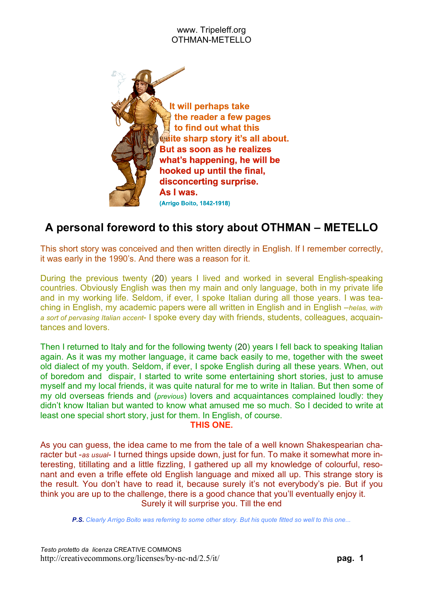

# **A personal foreword to this story about OTHMAN – METELLO**

This short story was conceived and then written directly in English. If I remember correctly, it was early in the 1990's. And there was a reason for it.

During the previous twenty (20) years I lived and worked in several English-speaking countries. Obviously English was then my main and only language, both in my private life and in my working life. Seldom, if ever, I spoke Italian during all those years. I was teaching in English, my academic papers were all written in English and in English –*helas, with a sort of pervasing Italian accent*- I spoke every day with friends, students, colleagues, acquaintances and lovers.

Then I returned to Italy and for the following twenty (20) years I fell back to speaking Italian again. As it was my mother language, it came back easily to me, together with the sweet old dialect of my youth. Seldom, if ever, I spoke English during all these years. When, out of boredom and dispair, I started to write some entertaining short stories, just to amuse myself and my local friends, it was quite natural for me to write in Italian. But then some of my old overseas friends and (*previous*) lovers and acquaintances complained loudly: they didn't know Italian but wanted to know what amused me so much. So I decided to write at least one special short story, just for them. In English, of course.

#### **THIS ONE.**

As you can guess, the idea came to me from the tale of a well known Shakespearian character but -*as usual*- I turned things upside down, just for fun. To make it somewhat more interesting, titillating and a little fizzling, I gathered up all my knowledge of colourful, resonant and even a trifle effete old English language and mixed all up. This strange story is the result. You don't have to read it, because surely it's not everybody's pie. But if you think you are up to the challenge, there is a good chance that you'll eventually enjoy it. Surely it will surprise you. Till the end

P.S. Clearly Arrigo Boito was referring to some other story. But his quote fitted so well to this one...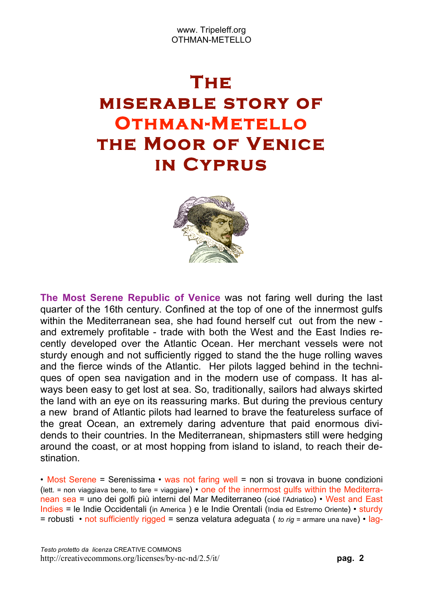# **The miserable story of Othman-Metello the Moor of Venice in Cyprus**



**The Most Serene Republic of Venice** was not faring well during the last quarter of the 16th century. Confined at the top of one of the innermost gulfs within the Mediterranean sea, she had found herself cut out from the new and extremely profitable - trade with both the West and the East Indies recently developed over the Atlantic Ocean. Her merchant vessels were not sturdy enough and not sufficiently rigged to stand the the huge rolling waves and the fierce winds of the Atlantic. Her pilots lagged behind in the techniques of open sea navigation and in the modern use of compass. It has always been easy to get lost at sea. So, traditionally, sailors had always skirted the land with an eye on its reassuring marks. But during the previous century a new brand of Atlantic pilots had learned to brave the featureless surface of the great Ocean, an extremely daring adventure that paid enormous dividends to their countries. In the Mediterranean, shipmasters still were hedging around the coast, or at most hopping from island to island, to reach their destination.

• Most Serene = Serenissima • was not faring well = non si trovava in buone condizioni (lett.  $=$  non viaggiava bene, to fare  $=$  viaggiare)  $\cdot$  one of the innermost gulfs within the Mediterranean sea = uno dei golfi più interni del Mar Mediterraneo (cioé l'Adriatico) • West and East Indies = le Indie Occidentali (in America ) e le Indie Orentali (India ed Estremo Oriente) • sturdy = robusti • not sufficiently rigged = senza velatura adeguata ( *to rig* = armare una nave) • lag-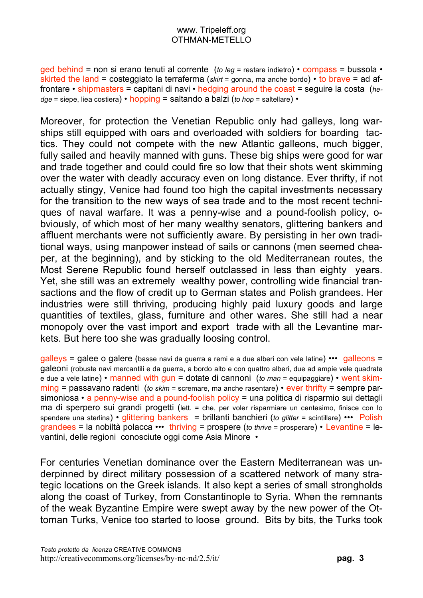ged behind = non si erano tenuti al corrente (*to leg* = restare indietro) • compass = bussola • skirted the land = costeggiato la terraferma (*skirt* = gonna, ma anche bordo) • to brave = ad affrontare • shipmasters = capitani di navi • hedging around the coast = seguire la costa (*hedge* = siepe, liea costiera) • hopping = saltando a balzi (*to hop* = saltellare) •

Moreover, for protection the Venetian Republic only had galleys, long warships still equipped with oars and overloaded with soldiers for boarding tactics. They could not compete with the new Atlantic galleons, much bigger, fully sailed and heavily manned with guns. These big ships were good for war and trade together and could could fire so low that their shots went skimming over the water with deadly accuracy even on long distance. Ever thrifty, if not actually stingy, Venice had found too high the capital investments necessary for the transition to the new ways of sea trade and to the most recent techniques of naval warfare. It was a penny-wise and a pound-foolish policy, obviously, of which most of her many wealthy senators, glittering bankers and affluent merchants were not sufficiently aware. By persisting in her own traditional ways, using manpower instead of sails or cannons (men seemed cheaper, at the beginning), and by sticking to the old Mediterranean routes, the Most Serene Republic found herself outclassed in less than eighty years. Yet, she still was an extremely wealthy power, controlling wide financial transactions and the flow of credit up to German states and Polish grandees. Her industries were still thriving, producing highly paid luxury goods and large quantities of textiles, glass, furniture and other wares. She still had a near monopoly over the vast import and export trade with all the Levantine markets. But here too she was gradually loosing control.

galleys = galee o galere (basse navi da guerra a remi e a due alberi con vele latine) ••• galleons = galeoni (robuste navi mercantili e da guerra, a bordo alto e con quattro alberi, due ad ampie vele quadrate e due a vele latine) • manned with gun = dotate di cannoni (*to man* = equipaggiare) • went skimming = passavano radenti (*to skim* = scremare, ma anche rasentare) • ever thrifty = sempre parsimoniosa • a penny-wise and a pound-foolish policy = una politica di risparmio sui dettagli ma di sperpero sui grandi progetti (lett. = che, per voler risparmiare un centesimo, finisce con lo spendere una sterlina) • glittering bankers = brillanti banchieri (*to glitter* = scintillare) ••• Polish grandees = la nobiltà polacca ••• thriving = prospere (*to thrive* = prosperare) • Levantine = levantini, delle regioni conosciute oggi come Asia Minore •

For centuries Venetian dominance over the Eastern Mediterranean was underpinned by direct military possession of a scattered network of many strategic locations on the Greek islands. It also kept a series of small strongholds along the coast of Turkey, from Constantinople to Syria. When the remnants of the weak Byzantine Empire were swept away by the new power of the Ottoman Turks, Venice too started to loose ground. Bits by bits, the Turks took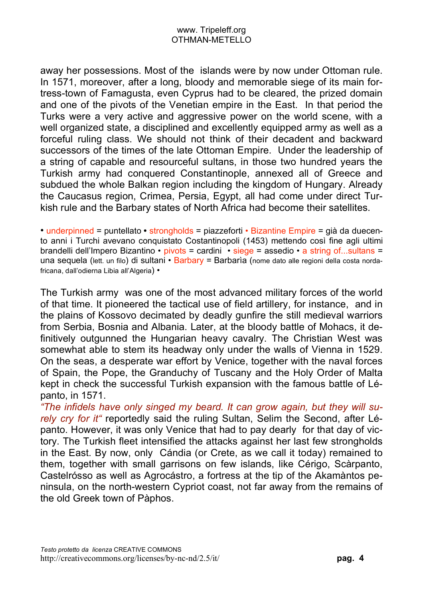away her possessions. Most of the islands were by now under Ottoman rule. In 1571, moreover, after a long, bloody and memorable siege of its main fortress-town of Famagusta, even Cyprus had to be cleared, the prized domain and one of the pivots of the Venetian empire in the East. In that period the Turks were a very active and aggressive power on the world scene, with a well organized state, a disciplined and excellently equipped army as well as a forceful ruling class. We should not think of their decadent and backward successors of the times of the late Ottoman Empire. Under the leadership of a string of capable and resourceful sultans, in those two hundred years the Turkish army had conquered Constantinople, annexed all of Greece and subdued the whole Balkan region including the kingdom of Hungary. Already the Caucasus region, Crimea, Persia, Egypt, all had come under direct Turkish rule and the Barbary states of North Africa had become their satellites.

• underpinned = puntellato **•** strongholds = piazzeforti • Bizantine Empire = già da duecento anni i Turchi avevano conquistato Costantinopoli (1453) mettendo così fine agli ultimi brandelli dell'Impero Bizantino • pivots = cardini • siege = assedio • a string of...sultans = una sequela (lett. un filo) di sultani • Barbary = Barbaria (nome dato alle regioni della costa nordafricana, dall'odierna Libia all'Algeria) •

The Turkish army was one of the most advanced military forces of the world of that time. It pioneered the tactical use of field artillery, for instance, and in the plains of Kossovo decimated by deadly gunfire the still medieval warriors from Serbia, Bosnia and Albania. Later, at the bloody battle of Mohacs, it definitively outgunned the Hungarian heavy cavalry. The Christian West was somewhat able to stem its headway only under the walls of Vienna in 1529. On the seas, a desperate war effort by Venice, together with the naval forces of Spain, the Pope, the Granduchy of Tuscany and the Holy Order of Malta kept in check the successful Turkish expansion with the famous battle of Lépanto, in 1571.

*"The infidels have only singed my beard. It can grow again, but they will surely cry for it"* reportedly said the ruling Sultan, Selim the Second, after Lépanto. However, it was only Venice that had to pay dearly for that day of victory. The Turkish fleet intensified the attacks against her last few strongholds in the East. By now, only Cándia (or Crete, as we call it today) remained to them, together with small garrisons on few islands, like Cérigo, Scàrpanto, Castelrósso as well as Agrocástro, a fortress at the tip of the Akamàntos peninsula, on the north-western Cypriot coast, not far away from the remains of the old Greek town of Pàphos.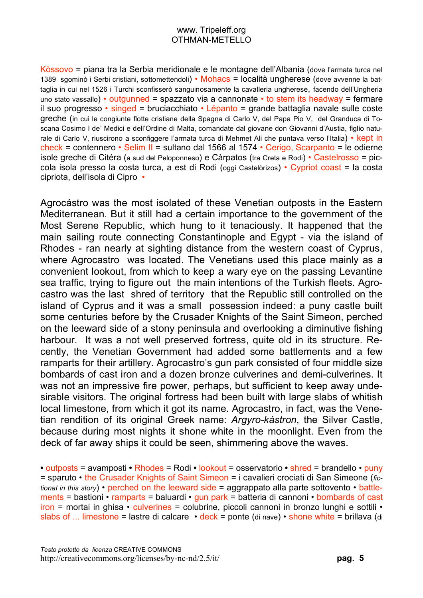Kòssovo = piana tra la Serbia meridionale e le montagne dell'Albania (dove l'armata turca nel 1389 sgominò i Serbi cristiani, sottomettendoli) • Mohacs = località ungherese (dove avvenne la battaglia in cui nel 1526 i Turchi sconfisserò sanguinosamente la cavalleria ungherese, facendo dell'Ungheria uno stato vassallo) • outgunned = spazzato via a cannonate • to stem its headway = fermare il suo progresso • singed = bruciacchiato • Lépanto = grande battaglia navale sulle coste greche (in cui le congiunte flotte cristiane della Spagna di Carlo V, del Papa Pio V, del Granduca di Toscana Cosimo I de' Medici e dell'Ordine di Malta, comandate dal giovane don Giovanni d'Austia, figlio naturale di Carlo V, riuscirono a sconfiggere l'armata turca di Mehmet Ali che puntava verso l'Italia) • kept in check = contennero • Selim II = sultano dal 1566 al 1574 • Cerigo, Scarpanto = le odierne isole greche di Citéra (a sud del Peloponneso) e Càrpatos (tra Creta e Rodi) • Castelrosso = piccola isola presso la costa turca, a est di Rodi (oggi Castelòrizos) • Cypriot coast = la costa cipriota, dell'isola di Cipro •

Agrocástro was the most isolated of these Venetian outposts in the Eastern Mediterranean. But it still had a certain importance to the government of the Most Serene Republic, which hung to it tenaciously. It happened that the main sailing route connecting Constantinople and Egypt - via the island of Rhodes - ran nearly at sighting distance from the western coast of Cyprus, where Agrocastro was located. The Venetians used this place mainly as a convenient lookout, from which to keep a wary eye on the passing Levantine sea traffic, trying to figure out the main intentions of the Turkish fleets. Agrocastro was the last shred of territory that the Republic still controlled on the island of Cyprus and it was a small possession indeed: a puny castle built some centuries before by the Crusader Knights of the Saint Simeon, perched on the leeward side of a stony peninsula and overlooking a diminutive fishing harbour. It was a not well preserved fortress, quite old in its structure. Recently, the Venetian Government had added some battlements and a few ramparts for their artillery. Agrocastro's gun park consisted of four middle size bombards of cast iron and a dozen bronze culverines and demi-culverines. It was not an impressive fire power, perhaps, but sufficient to keep away undesirable visitors. The original fortress had been built with large slabs of whitish local limestone, from which it got its name. Agrocastro, in fact, was the Venetian rendition of its original Greek name: *Argyro-kástron*, the Silver Castle, because during most nights it shone white in the moonlight. Even from the deck of far away ships it could be seen, shimmering above the waves.

**•** outposts = avamposti **•** Rhodes = Rodi **•** lookout = osservatorio **•** shred = brandello • puny = sparuto • the Crusader Knights of Saint Simeon = i cavalieri crociati di San Simeone (*fictional in this story*) • perched on the leeward side = aggrappato alla parte sottovento • battlements = bastioni • ramparts = baluardi • gun park = batteria di cannoni • bombards of cast iron = mortai in ghisa • culverines = colubrine, piccoli cannoni in bronzo lunghi e sottili • slabs of ... limestone = lastre di calcare • deck = ponte (di nave) • shone white = brillava (di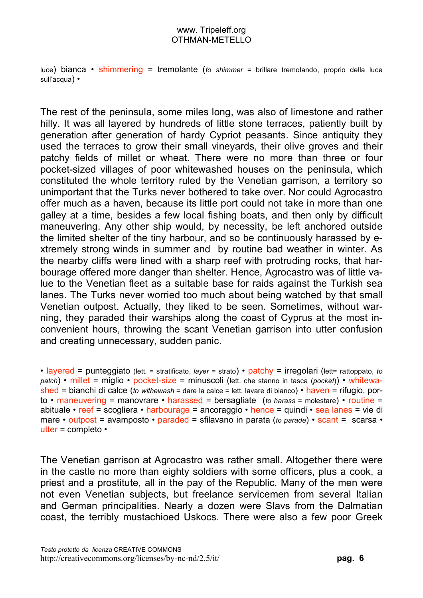luce) bianca • shimmering = tremolante (*to shimmer* = brillare tremolando, proprio della luce sull'acqua) •

The rest of the peninsula, some miles long, was also of limestone and rather hilly. It was all layered by hundreds of little stone terraces, patiently built by generation after generation of hardy Cypriot peasants. Since antiquity they used the terraces to grow their small vineyards, their olive groves and their patchy fields of millet or wheat. There were no more than three or four pocket-sized villages of poor whitewashed houses on the peninsula, which constituted the whole territory ruled by the Venetian garrison, a territory so unimportant that the Turks never bothered to take over. Nor could Agrocastro offer much as a haven, because its little port could not take in more than one galley at a time, besides a few local fishing boats, and then only by difficult maneuvering. Any other ship would, by necessity, be left anchored outside the limited shelter of the tiny harbour, and so be continuously harassed by extremely strong winds in summer and by routine bad weather in winter. As the nearby cliffs were lined with a sharp reef with protruding rocks, that harbourage offered more danger than shelter. Hence, Agrocastro was of little value to the Venetian fleet as a suitable base for raids against the Turkish sea lanes. The Turks never worried too much about being watched by that small Venetian outpost. Actually, they liked to be seen. Sometimes, without warning, they paraded their warships along the coast of Cyprus at the most inconvenient hours, throwing the scant Venetian garrison into utter confusion and creating unnecessary, sudden panic.

• layered = punteggiato (lett. = stratificato, *layer* = strato) • patchy = irregolari (lett= rattoppato, *to patch*) • millet = miglio • pocket-size = minuscoli (lett. che stanno in tasca (*pocket*)) • whitewashed = bianchi di calce (*to withewash* = dare la calce = lett. lavare di bianco) • haven = rifugio, porto • maneuvering = manovrare • harassed = bersagliate (*to harass* = molestare) • routine = abituale • reef = scogliera • harbourage = ancoraggio • hence = quindi • sea lanes = vie di mare • outpost = avamposto • paraded = sfilavano in parata (*to parade*) • scant = scarsa • utter = completo •

The Venetian garrison at Agrocastro was rather small. Altogether there were in the castle no more than eighty soldiers with some officers, plus a cook, a priest and a prostitute, all in the pay of the Republic. Many of the men were not even Venetian subjects, but freelance servicemen from several Italian and German principalities. Nearly a dozen were Slavs from the Dalmatian coast, the terribly mustachioed Uskocs. There were also a few poor Greek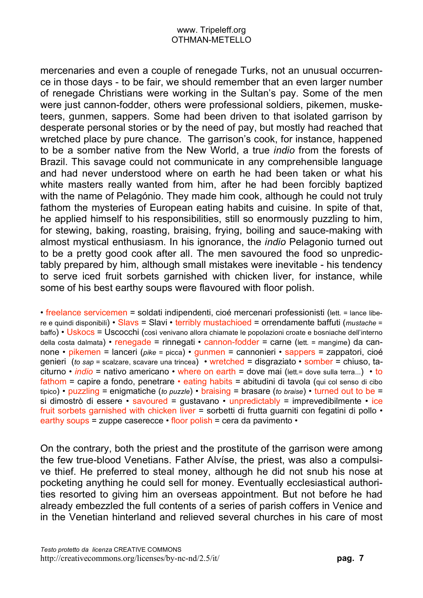mercenaries and even a couple of renegade Turks, not an unusual occurrence in those days - to be fair, we should remember that an even larger number of renegade Christians were working in the Sultan's pay. Some of the men were just cannon-fodder, others were professional soldiers, pikemen, musketeers, gunmen, sappers. Some had been driven to that isolated garrison by desperate personal stories or by the need of pay, but mostly had reached that wretched place by pure chance. The garrison's cook, for instance, happened to be a somber native from the New World, a true *indio* from the forests of Brazil. This savage could not communicate in any comprehensible language and had never understood where on earth he had been taken or what his white masters really wanted from him, after he had been forcibly baptized with the name of Pelagónio. They made him cook, although he could not truly fathom the mysteries of European eating habits and cuisine. In spite of that, he applied himself to his responsibilities, still so enormously puzzling to him, for stewing, baking, roasting, braising, frying, boiling and sauce-making with almost mystical enthusiasm. In his ignorance, the *indio* Pelagonio turned out to be a pretty good cook after all. The men savoured the food so unpredictably prepared by him, although small mistakes were inevitable - his tendency to serve iced fruit sorbets garnished with chicken liver, for instance, while some of his best earthy soups were flavoured with floor polish.

• freelance servicemen = soldati indipendenti, cioé mercenari professionisti (lett. = lance libere e quindi disponibili) • Slavs = Slavi • terribly mustachioed = orrendamente baffuti (*mustache* = baffo) • Uskocs = Uscocchi (così venivano allora chiamate le popolazioni croate e bosniache dell'interno della costa dalmata) • renegade = rinnegati • cannon-fodder = carne (lett. = mangime) da cannone • pikemen = lanceri (*pike* = picca) • gunmen = cannonieri • sappers = zappatori, cioé genieri (*to sap* = scalzare, scavare una trincea) • wretched = disgraziato • somber = chiuso, taciturno • *indio* = nativo americano • where on earth = dove mai (lett.= dove sulla terra...) • to fathom = capire a fondo, penetrare  $\cdot$  eating habits = abitudini di tavola (qui col senso di cibo tipico) • puzzling = enigmatiche (*to puzzle*) • braising = brasare (*to braise*) • turned out to be = si dimostrò di essere  $\cdot$  savoured = gustavano  $\cdot$  unpredictably = imprevedibilmente  $\cdot$  ice fruit sorbets garnished with chicken liver = sorbetti di frutta guarniti con fegatini di pollo • earthy soups = zuppe caserecce • floor polish = cera da pavimento •

On the contrary, both the priest and the prostitute of the garrison were among the few true-blood Venetians. Father Alvíse, the priest, was also a compulsive thief. He preferred to steal money, although he did not snub his nose at pocketing anything he could sell for money. Eventually ecclesiastical authorities resorted to giving him an overseas appointment. But not before he had already embezzled the full contents of a series of parish coffers in Venice and in the Venetian hinterland and relieved several churches in his care of most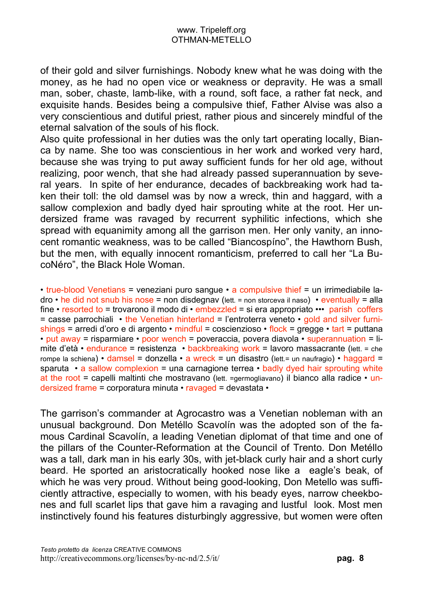of their gold and silver furnishings. Nobody knew what he was doing with the money, as he had no open vice or weakness or depravity. He was a small man, sober, chaste, lamb-like, with a round, soft face, a rather fat neck, and exquisite hands. Besides being a compulsive thief, Father Alvise was also a very conscientious and dutiful priest, rather pious and sincerely mindful of the eternal salvation of the souls of his flock.

Also quite professional in her duties was the only tart operating locally, Bianca by name. She too was conscientious in her work and worked very hard, because she was trying to put away sufficient funds for her old age, without realizing, poor wench, that she had already passed superannuation by several years. In spite of her endurance, decades of backbreaking work had taken their toll: the old damsel was by now a wreck, thin and haggard, with a sallow complexion and badly dyed hair sprouting white at the root. Her undersized frame was ravaged by recurrent syphilitic infections, which she spread with equanimity among all the garrison men. Her only vanity, an innocent romantic weakness, was to be called "Biancospíno", the Hawthorn Bush, but the men, with equally innocent romanticism, preferred to call her "La BucoNéro", the Black Hole Woman.

 $\cdot$  true-blood Venetians = veneziani puro sangue  $\cdot$  a compulsive thief = un irrimediabile ladro • he did not snub his nose = non disdegnav (lett. = non storceva il naso) • eventually = alla fine • resorted to = trovarono il modo di • embezzled = si era appropriato ••• parish coffers  $=$  casse parrochiali  $\cdot$  the Venetian hinterland = l'entroterra veneto  $\cdot$  gold and silver furnishings = arredi d'oro e di argento  $\cdot$  mindful = coscienzioso  $\cdot$  flock = gregge  $\cdot$  tart = puttana • put away = risparmiare • poor wench = poveraccia, povera diavola • superannuation =  $\mathbf{I}$ imite d'età • endurance = resistenza • backbreaking work = lavoro massacrante (lett. = che rompe la schiena) • damsel = donzella • a wreck = un disastro (lett. = un naufragio) • haggard = sparuta  $\cdot$  a sallow complexion = una carnagione terrea  $\cdot$  badly dyed hair sprouting white at the root = capelli maltinti che mostravano (lett. =germogliavano) il bianco alla radice • undersized frame = corporatura minuta • ravaged = devastata •

The garrison's commander at Agrocastro was a Venetian nobleman with an unusual background. Don Metéllo Scavolín was the adopted son of the famous Cardinal Scavolín, a leading Venetian diplomat of that time and one of the pillars of the Counter-Reformation at the Council of Trento. Don Metéllo was a tall, dark man in his early 30s, with jet-black curly hair and a short curly beard. He sported an aristocratically hooked nose like a eagle's beak, of which he was very proud. Without being good-looking, Don Metello was sufficiently attractive, especially to women, with his beady eyes, narrow cheekbones and full scarlet lips that gave him a ravaging and lustful look. Most men instinctively found his features disturbingly aggressive, but women were often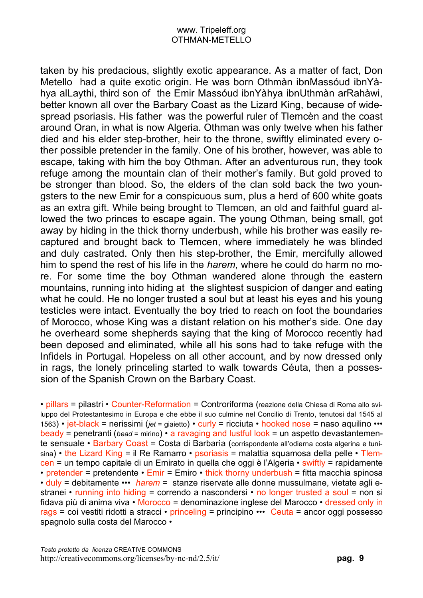taken by his predacious, slightly exotic appearance. As a matter of fact, Don Metello had a quite exotic origin. He was born Othmàn ibnMassóud ibnYàhya alLaythi, third son of the Emir Massóud ibnYàhya ibnUthmàn arRahàwi, better known all over the Barbary Coast as the Lizard King, because of widespread psoriasis. His father was the powerful ruler of Tlemcèn and the coast around Oran, in what is now Algeria. Othman was only twelve when his father died and his elder step-brother, heir to the throne, swiftly eliminated every other possible pretender in the family. One of his brother, however, was able to escape, taking with him the boy Othman. After an adventurous run, they took refuge among the mountain clan of their mother's family. But gold proved to be stronger than blood. So, the elders of the clan sold back the two youngsters to the new Emir for a conspicuous sum, plus a herd of 600 white goats as an extra gift. While being brought to Tlemcen, an old and faithful guard allowed the two princes to escape again. The young Othman, being small, got away by hiding in the thick thorny underbush, while his brother was easily recaptured and brought back to Tlemcen, where immediately he was blinded and duly castrated. Only then his step-brother, the Emir, mercifully allowed him to spend the rest of his life in the *harem*, where he could do harm no more. For some time the boy Othman wandered alone through the eastern mountains, running into hiding at the slightest suspicion of danger and eating what he could. He no longer trusted a soul but at least his eyes and his young testicles were intact. Eventually the boy tried to reach on foot the boundaries of Morocco, whose King was a distant relation on his mother's side. One day he overheard some shepherds saying that the king of Morocco recently had been deposed and eliminated, while all his sons had to take refuge with the Infidels in Portugal. Hopeless on all other account, and by now dressed only in rags, the lonely princeling started to walk towards Céuta, then a possession of the Spanish Crown on the Barbary Coast.

• pillars = pilastri • Counter-Reformation = Controriforma (reazione della Chiesa di Roma allo sviluppo del Protestantesimo in Europa e che ebbe il suo culmine nel Concilio di Trento, tenutosi dal 1545 al 1563) • jet-black = nerissimi (*jet* = giaietto) • curly = ricciuta • hooked nose = naso aquilino ••• beady = penetranti (*bead* = mirino) • a ravaging and lustful look = un aspetto devastantemente sensuale • Barbary Coast = Costa di Barbaria (corrispondente all'odierna costa algerina e tunisina) • the Lizard King = il Re Ramarro • psoriasis = malattia squamosa della pelle • Tlemcen = un tempo capitale di un Emirato in quella che oggi è l'Algeria • swiftly = rapidamente • pretender = pretendente •  $Emir = Emiro \cdot$  thick thorny underbush = fitta macchia spinosa • duly = debitamente ••• *harem* = stanze riservate alle donne mussulmane, vietate agli estranei • running into hiding = correndo a nascondersi • no longer trusted a soul = non si fidava più di anima viva  $\cdot$  Morocco = denominazione inglese del Marocco  $\cdot$  dressed only in rags = coi vestiti ridotti a stracci • princeling = principino ••• Ceuta = ancor oggi possesso spagnolo sulla costa del Marocco •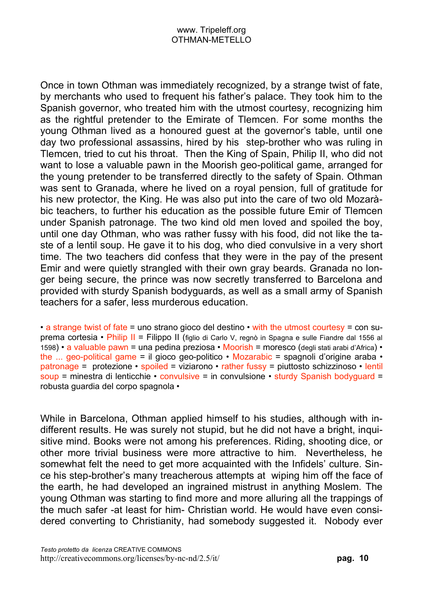Once in town Othman was immediately recognized, by a strange twist of fate, by merchants who used to frequent his father's palace. They took him to the Spanish governor, who treated him with the utmost courtesy, recognizing him as the rightful pretender to the Emirate of Tlemcen. For some months the young Othman lived as a honoured guest at the governor's table, until one day two professional assassins, hired by his step-brother who was ruling in Tlemcen, tried to cut his throat. Then the King of Spain, Philip II, who did not want to lose a valuable pawn in the Moorish geo-political game, arranged for the young pretender to be transferred directly to the safety of Spain. Othman was sent to Granada, where he lived on a royal pension, full of gratitude for his new protector, the King. He was also put into the care of two old Mozaràbic teachers, to further his education as the possible future Emir of Tlemcen under Spanish patronage. The two kind old men loved and spoiled the boy, until one day Othman, who was rather fussy with his food, did not like the taste of a lentil soup. He gave it to his dog, who died convulsive in a very short time. The two teachers did confess that they were in the pay of the present Emir and were quietly strangled with their own gray beards. Granada no longer being secure, the prince was now secretly transferred to Barcelona and provided with sturdy Spanish bodyguards, as well as a small army of Spanish teachers for a safer, less murderous education.

• a strange twist of fate = uno strano gioco del destino  $\cdot$  with the utmost courtesy = con suprema cortesia • Philip II = Filippo II (figlio di Carlo V, regnò in Spagna e sulle Fiandre dal 1556 al 1598) • a valuable pawn = una pedina preziosa • Moorish = moresco (degli stati arabi d'Africa) • the ... geo-political game = il gioco geo-politico • Mozarabic = spagnoli d'origine araba • patronage = protezione • spoiled = viziarono • rather fussy = piuttosto schizzinoso • lentil soup = minestra di lenticchie • convulsive = in convulsione • sturdy Spanish bodyguard = robusta guardia del corpo spagnola •

While in Barcelona, Othman applied himself to his studies, although with indifferent results. He was surely not stupid, but he did not have a bright, inquisitive mind. Books were not among his preferences. Riding, shooting dice, or other more trivial business were more attractive to him. Nevertheless, he somewhat felt the need to get more acquainted with the Infidels' culture. Since his step-brother's many treacherous attempts at wiping him off the face of the earth, he had developed an ingrained mistrust in anything Moslem. The young Othman was starting to find more and more alluring all the trappings of the much safer -at least for him- Christian world. He would have even considered converting to Christianity, had somebody suggested it. Nobody ever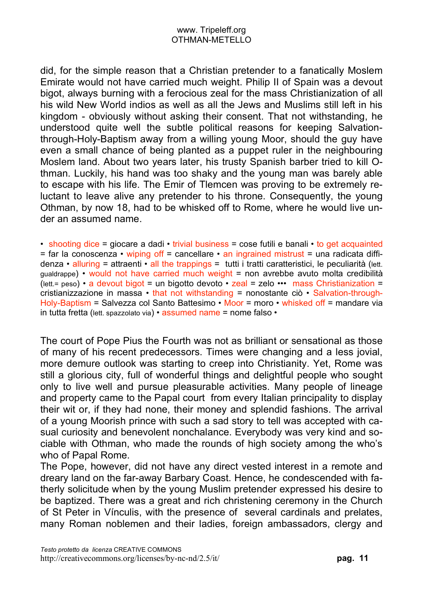did, for the simple reason that a Christian pretender to a fanatically Moslem Emirate would not have carried much weight. Philip II of Spain was a devout bigot, always burning with a ferocious zeal for the mass Christianization of all his wild New World indios as well as all the Jews and Muslims still left in his kingdom - obviously without asking their consent. That not withstanding, he understood quite well the subtle political reasons for keeping Salvationthrough-Holy-Baptism away from a willing young Moor, should the guy have even a small chance of being planted as a puppet ruler in the neighbouring Moslem land. About two years later, his trusty Spanish barber tried to kill Othman. Luckily, his hand was too shaky and the young man was barely able to escape with his life. The Emir of Tlemcen was proving to be extremely reluctant to leave alive any pretender to his throne. Consequently, the young Othman, by now 18, had to be whisked off to Rome, where he would live under an assumed name.

• shooting dice = giocare a dadi • trivial business = cose futili e banali • to get acquainted  $=$  far la conoscenza • wiping off = cancellare • an ingrained mistrust = una radicata diffidenza • alluring = attraenti • all the trappings = tutti i tratti caratteristici, le peculiarità (lett. gualdrappe) • would not have carried much weight = non avrebbe avuto molta credibilità (lett. = peso) • a devout bigot = un bigotto devoto • zeal = zelo ••• mass Christianization = cristianizzazione in massa • that not withstanding = nonostante ciò • Salvation-through-Holy-Baptism = Salvezza col Santo Battesimo • Moor = moro • whisked off = mandare via in tutta fretta (lett. spazzolato via) • assumed name = nome falso •

The court of Pope Pius the Fourth was not as brilliant or sensational as those of many of his recent predecessors. Times were changing and a less jovial, more demure outlook was starting to creep into Christianity. Yet, Rome was still a glorious city, full of wonderful things and delightful people who sought only to live well and pursue pleasurable activities. Many people of lineage and property came to the Papal court from every Italian principality to display their wit or, if they had none, their money and splendid fashions. The arrival of a young Moorish prince with such a sad story to tell was accepted with casual curiosity and benevolent nonchalance. Everybody was very kind and sociable with Othman, who made the rounds of high society among the who's who of Papal Rome.

The Pope, however, did not have any direct vested interest in a remote and dreary land on the far-away Barbary Coast. Hence, he condescended with fatherly solicitude when by the young Muslim pretender expressed his desire to be baptized. There was a great and rich christening ceremony in the Church of St Peter in Vínculis, with the presence of several cardinals and prelates, many Roman noblemen and their ladies, foreign ambassadors, clergy and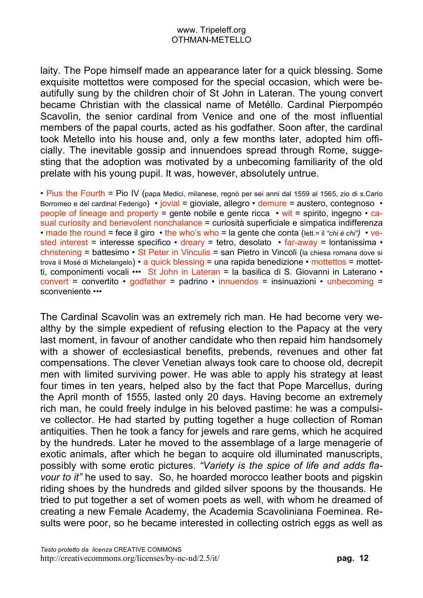laity. The Pope himself made an appearance later for a quick blessing. Some exquisite mottettos were composed for the special occasion, which were beautifully sung by the children choir of St John in Lateran. The young convert became Christian with the classical name of Metéllo. Cardinal Pierpompéo Scavolìn, the senior cardinal from Venice and one of the most influential members of the papal courts, acted as his godfather. Soon after, the cardinal took Metello into his house and, only a few months later, adopted him officially. The inevitable gossip and innuendoes spread through Rome, suggesting that the adoption was motivated by a unbecoming familiarity of the old prelate with his young pupil. It was, however, absolutely untrue.

• Pius the Fourth = Pio IV (papa Medici, milanese, regnò per sei anni dal 1559 al 1565, zio di s.Carlo Borromeo e del cardinal Federigo) • jovial = gioviale, allegro • demure = austero, contegnoso • people of lineage and property = gente nobile e gente ricca  $\cdot$  wit = spirito, ingegno  $\cdot$  casual curiosity and benevolent nonchalance = curiosità superficiale e simpatica indifferenza • made the round = fece il giro • the who's who = la gente che conta (lett.= il *"chi è chi")* • vested interest = interesse specifico • dreary = tetro, desolato • far-away = lontanissima • christening = battesimo • St Peter in Vinculis = san Pietro in Vincoli (la chiesa romana dove si trova il Mosé di Michelangelo) • a quick blessing = una rapida benedizione • mottettos = mottetti, componimenti vocali ••• St John in Lateran = la basilica di S. Giovanni in Laterano • convert = convertito • godfather = padrino • innuendos = insinuazioni • unbecoming = sconveniente •••

The Cardinal Scavolin was an extremely rich man. He had become very wealthy by the simple expedient of refusing election to the Papacy at the very last moment, in favour of another candidate who then repaid him handsomely with a shower of ecclesiastical benefits, prebends, revenues and other fat compensations. The clever Venetian always took care to choose old, decrepit men with limited surviving power. He was able to apply his strategy at least four times in ten years, helped also by the fact that Pope Marcellus, during the April month of 1555, lasted only 20 days. Having become an extremely rich man, he could freely indulge in his beloved pastime: he was a compulsive collector. He had started by putting together a huge collection of Roman antiquities. Then he took a fancy for jewels and rare gems, which he acquired by the hundreds. Later he moved to the assemblage of a large menagerie of exotic animals, after which he began to acquire old illuminated manuscripts, possibly with some erotic pictures. *"Variety is the spice of life and adds flavour to it"* he used to say. So, he hoarded morocco leather boots and pigskin riding shoes by the hundreds and gilded silver spoons by the thousands. He tried to put together a set of women poets as well, with whom he dreamed of creating a new Female Academy, the Academia Scavoliniana Foeminea. Results were poor, so he became interested in collecting ostrich eggs as well as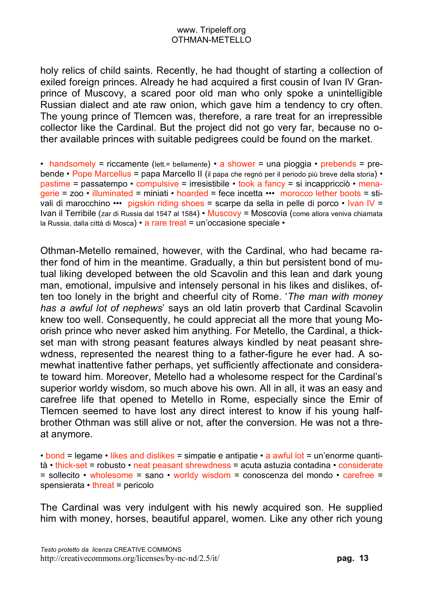holy relics of child saints. Recently, he had thought of starting a collection of exiled foreign princes. Already he had acquired a first cousin of Ivan IV Granprince of Muscovy, a scared poor old man who only spoke a unintelligible Russian dialect and ate raw onion, which gave him a tendency to cry often. The young prince of Tlemcen was, therefore, a rare treat for an irrepressible collector like the Cardinal. But the project did not go very far, because no other available princes with suitable pedigrees could be found on the market.

• handsomely = riccamente (lett.= bellamente) • a shower = una pioggia • prebends = prebende • Pope Marcellus = papa Marcello II (il papa che regnò per il periodo più breve della storia) • pastime = passatempo • compulsive = irresistibile • took a fancy = si incappricciò • menagerie = zoo • illuminated = miniati • hoarded = fece incetta ••• morocco lether boots = stivali di marocchino ••• pigskin riding shoes = scarpe da sella in pelle di porco • Ivan IV = Ivan il Terribile (zar di Russia dal 1547 al 1584) • Muscovy = Moscovia (come allora veniva chiamata la Russia, dalla città di Mosca) • a rare treat = un'occasione speciale •

Othman-Metello remained, however, with the Cardinal, who had became rather fond of him in the meantime. Gradually, a thin but persistent bond of mutual liking developed between the old Scavolin and this lean and dark young man, emotional, impulsive and intensely personal in his likes and dislikes, often too lonely in the bright and cheerful city of Rome. '*The man with money has a awful lot of nephews*' says an old latin proverb that Cardinal Scavolin knew too well. Consequently, he could appreciat all the more that young Moorish prince who never asked him anything. For Metello, the Cardinal, a thickset man with strong peasant features always kindled by neat peasant shrewdness, represented the nearest thing to a father-figure he ever had. A somewhat inattentive father perhaps, yet sufficiently affectionate and considerate toward him. Moreover, Metello had a wholesome respect for the Cardinal's superior worldy wisdom, so much above his own. All in all, it was an easy and carefree life that opened to Metello in Rome, especially since the Emir of Tlemcen seemed to have lost any direct interest to know if his young halfbrother Othman was still alive or not, after the conversion. He was not a threat anymore.

• bond = legame • likes and dislikes = simpatie e antipatie • a awful lot = un'enorme quantità • thick-set = robusto • neat peasant shrewdness = acuta astuzia contadina • considerate = sollecito • wholesome = sano • worldy wisdom = conoscenza del mondo • carefree = spensierata • threat = pericolo

The Cardinal was very indulgent with his newly acquired son. He supplied him with money, horses, beautiful apparel, women. Like any other rich young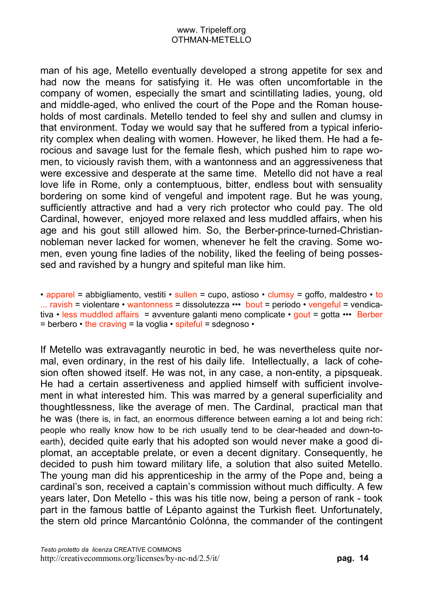man of his age, Metello eventually developed a strong appetite for sex and had now the means for satisfying it. He was often uncomfortable in the company of women, especially the smart and scintillating ladies, young, old and middle-aged, who enlived the court of the Pope and the Roman households of most cardinals. Metello tended to feel shy and sullen and clumsy in that environment. Today we would say that he suffered from a typical inferiority complex when dealing with women. However, he liked them. He had a ferocious and savage lust for the female flesh, which pushed him to rape women, to viciously ravish them, with a wantonness and an aggressiveness that were excessive and desperate at the same time. Metello did not have a real love life in Rome, only a contemptuous, bitter, endless bout with sensuality bordering on some kind of vengeful and impotent rage. But he was young, sufficiently attractive and had a very rich protector who could pay. The old Cardinal, however, enjoyed more relaxed and less muddled affairs, when his age and his gout still allowed him. So, the Berber-prince-turned-Christiannobleman never lacked for women, whenever he felt the craving. Some women, even young fine ladies of the nobility, liked the feeling of being possessed and ravished by a hungry and spiteful man like him.

• apparel = abbigliamento, vestiti • sullen = cupo, astioso • clumsy = goffo, maldestro • to ... ravish = violentare • wantonness = dissolutezza ••• bout = periodo • vengeful = vendicativa • less muddled affairs = avventure galanti meno complicate • gout = gotta ••• Berber  $=$  berbero  $\cdot$  the craving  $=$  la voglia  $\cdot$  spiteful  $=$  sdegnoso  $\cdot$ 

If Metello was extravagantly neurotic in bed, he was nevertheless quite normal, even ordinary, in the rest of his daily life. Intellectually, a lack of cohesion often showed itself. He was not, in any case, a non-entity, a pipsqueak. He had a certain assertiveness and applied himself with sufficient involvement in what interested him. This was marred by a general superficiality and thoughtlessness, like the average of men. The Cardinal, practical man that he was (there is, in fact, an enormous difference between earning a lot and being rich: people who really know how to be rich usually tend to be clear-headed and down-toearth), decided quite early that his adopted son would never make a good diplomat, an acceptable prelate, or even a decent dignitary. Consequently, he decided to push him toward military life, a solution that also suited Metello. The young man did his apprenticeship in the army of the Pope and, being a cardinal's son, received a captain's commission without much difficulty. A few years later, Don Metello - this was his title now, being a person of rank - took part in the famous battle of Lépanto against the Turkish fleet. Unfortunately, the stern old prince Marcantónio Colónna, the commander of the contingent